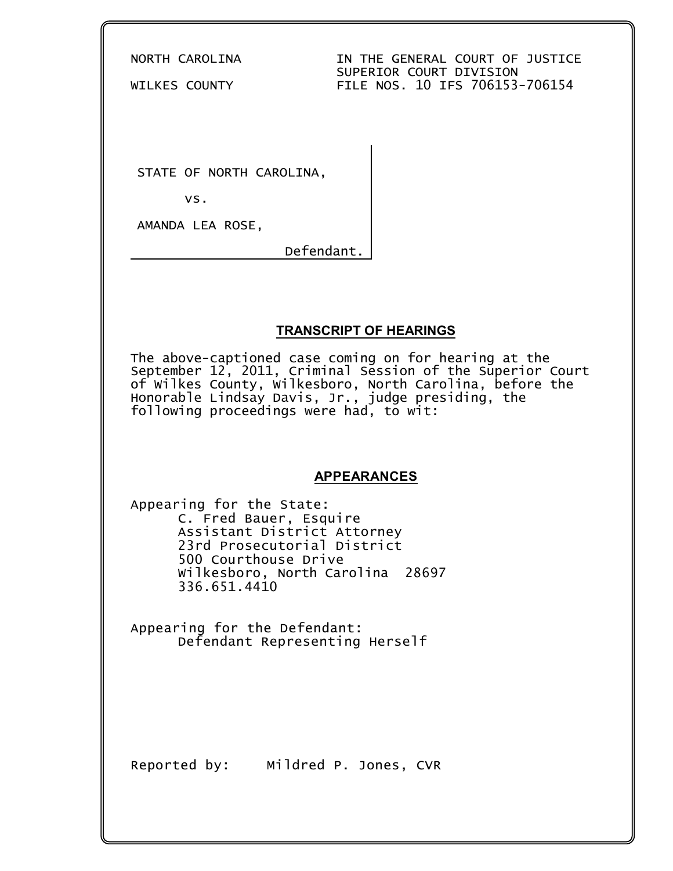NORTH CAROLINA IN THE GENERAL COURT OF JUSTICE SUPERIOR COURT DIVISION WILKES COUNTY FILE NOS. 10 IFS 706153-706154

STATE OF NORTH CAROLINA,

vs.

AMANDA LEA ROSE,

Defendant.

## **TRANSCRIPT OF HEARINGS**

The above-captioned case coming on for hearing at the September 12, 2011, Criminal Session of the Superior Court of Wilkes County, Wilkesboro, North Carolina, before the Honorable Lindsay Davis, Jr., judge presiding, the following proceedings were had, to wit:

## **APPEARANCES**

Appearing for the State: C. Fred Bauer, Esquire Assistant District Attorney 23rd Prosecutorial District 500 Courthouse Drive Wilkesboro, North Carolina 28697 336.651.4410

Appearing for the Defendant: Defendant Representing Herself

Reported by: Mildred P. Jones, CVR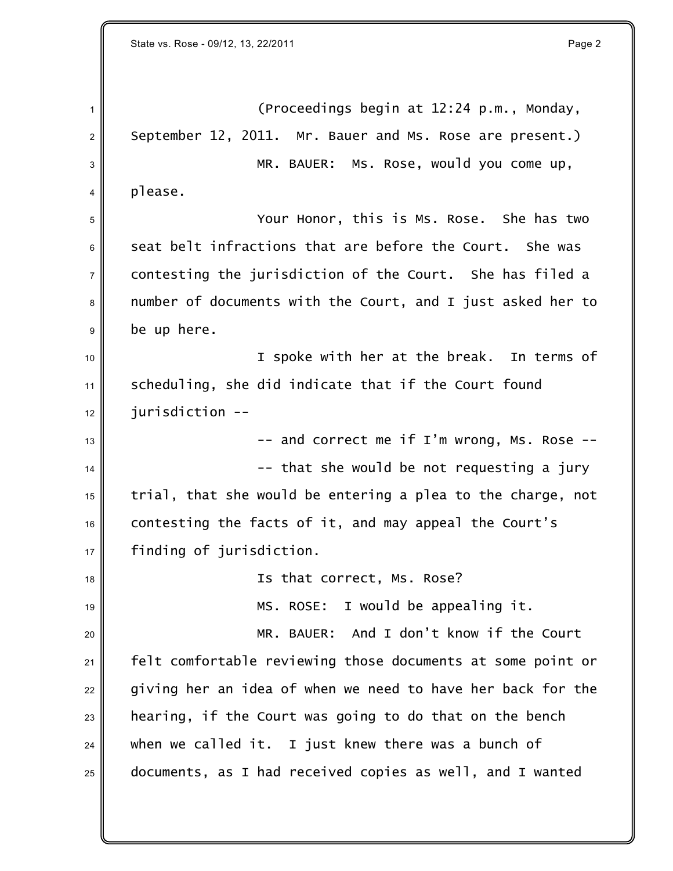1 (Proceedings begin at 12:24 p.m., Monday,  $2 \parallel$  September 12, 2011. Mr. Bauer and Ms. Rose are present.) 3 MR. BAUER: MS. ROSe, would you come up,  $4 \parallel$  please. <sup>5</sup> Your Honor, this is Ms. Rose. She has two  $6$  seat belt infractions that are before the Court. She was  $7\parallel$  contesting the jurisdiction of the Court. She has filed a 8 mumber of documents with the Court, and I just asked her to  $9$  be up here.  $_{10}$   $\parallel$   $\qquad$   $\qquad$  I spoke with her at the break. In terms of 11 Scheduling, she did indicate that if the Court found  $12 \parallel$  jurisdiction -- $13$   $\parallel$  -- and correct me if I'm wrong, Ms. Rose -- $\frac{14}{14}$   $\parallel$  $15$  trial, that she would be entering a plea to the charge, not 16 contesting the facts of it, and may appeal the Court's <sup>17</sup> finding of jurisdiction. 18 **Is that correct, Ms. Rose?** 19 MS. ROSE: I would be appealing it. <sup>20</sup> MR. BAUER: And I don't know if the Court 21 Felt comfortable reviewing those documents at some point or  $22$  giving her an idea of when we need to have her back for the  $23$  hearing, if the Court was going to do that on the bench  $24$  when we called it. I just knew there was a bunch of  $25$  documents, as I had received copies as well, and I wanted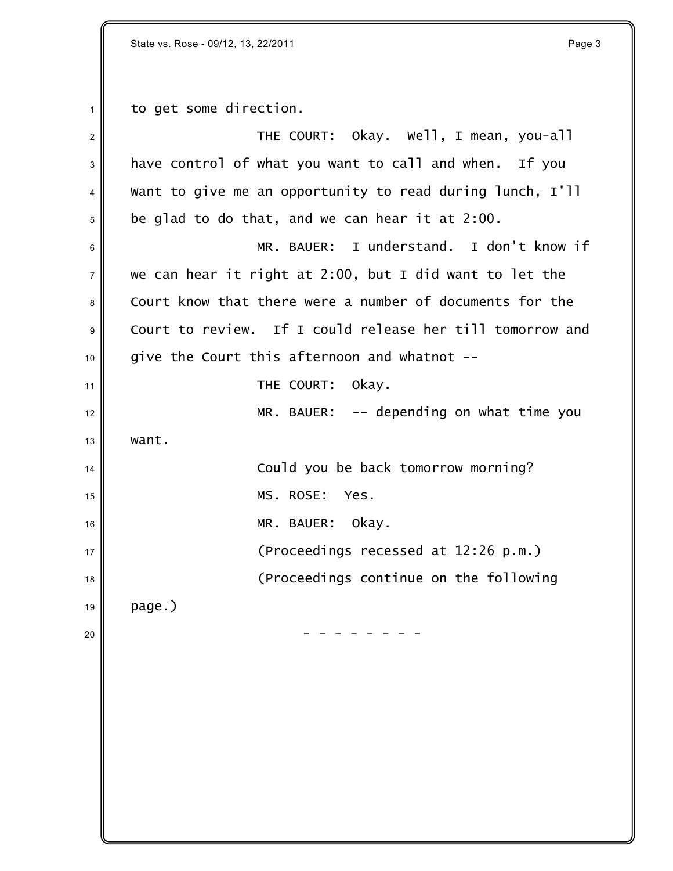State vs. Rose - 09/12, 13, 22/2011 **Page 3** 

 $1 \parallel$  to get some direction.

| $\overline{2}$ | THE COURT: Okay. Well, I mean, you-all                    |
|----------------|-----------------------------------------------------------|
| 3              | have control of what you want to call and when. If you    |
| 4              | Want to give me an opportunity to read during lunch, I'll |
| 5              | be glad to do that, and we can hear it at 2:00.           |
| 6              | MR. BAUER: I understand. I don't know if                  |
| $\overline{7}$ | we can hear it right at 2:00, but I did want to let the   |
| 8              | Court know that there were a number of documents for the  |
| 9              | Court to review. If I could release her till tomorrow and |
| 10             | give the Court this afternoon and whatnot --              |
| 11             | THE COURT:<br>okay.                                       |
| 12             | $MR.$ BAUER: $-$ - depending on what time you             |
| 13             | want.                                                     |
| 14             | Could you be back tomorrow morning?                       |
| 15             | MS. ROSE:<br>Yes.                                         |
| 16             | MR. BAUER: Okay.                                          |
| 17             | (Proceedings recessed at 12:26 p.m.)                      |
| 18             | (Proceedings continue on the following                    |
| 19             | page.)                                                    |
| 20             |                                                           |
|                |                                                           |
|                |                                                           |
|                |                                                           |
|                |                                                           |
|                |                                                           |
|                |                                                           |
|                |                                                           |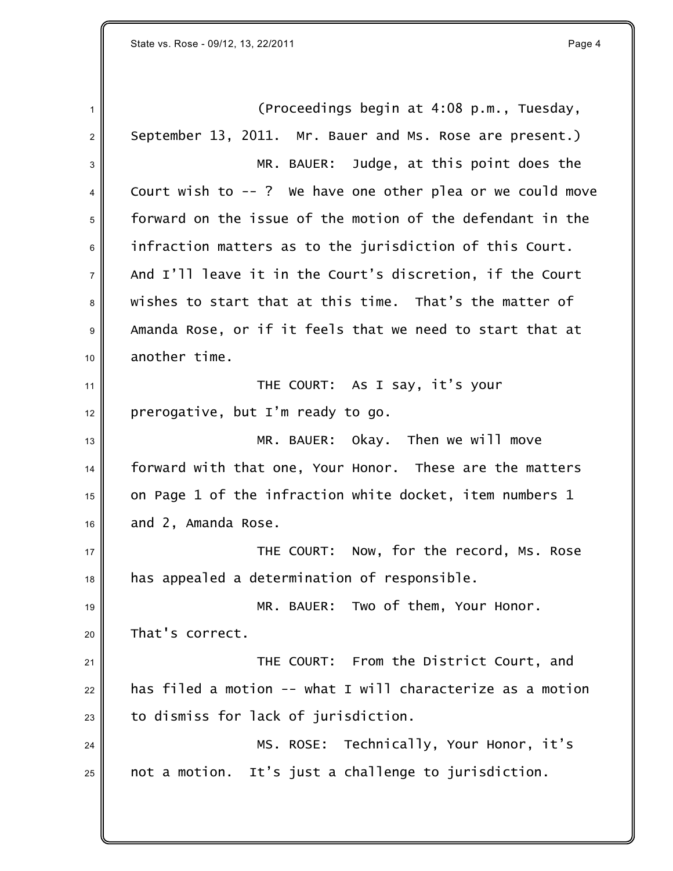1 (Proceedings begin at 4:08 p.m., Tuesday,  $2 \parallel$  September 13, 2011. Mr. Bauer and Ms. Rose are present.) 3 MR. BAUER: Judge, at this point does the 4 Court wish to --? We have one other plea or we could move forward on the issue of the motion of the defendant in the infraction matters as to the jurisdiction of this Court. And I'll leave it in the Court's discretion, if the Court wishes to start that at this time. That's the matter of Amanda Rose, or if it feels that we need to start that at another time. **THE COURT:** As I say, it's your prerogative, but I'm ready to go. 13 MR. BAUER: Okay. Then we will move forward with that one, Your Honor. These are the matters on Page 1 of the infraction white docket, item numbers 1 and 2, Amanda Rose. **No. 2** THE COURT: Now, for the record, Ms. Rose has appealed a determination of responsible. 19 MR. BAUER: Two of them, Your Honor. 20 That's correct. **THE COURT:** From the District Court, and has filed a motion -- what I will characterize as a motion to dismiss for lack of jurisdiction. 24 MS. ROSE: Technically, Your Honor, it's not a motion. It's just a challenge to jurisdiction.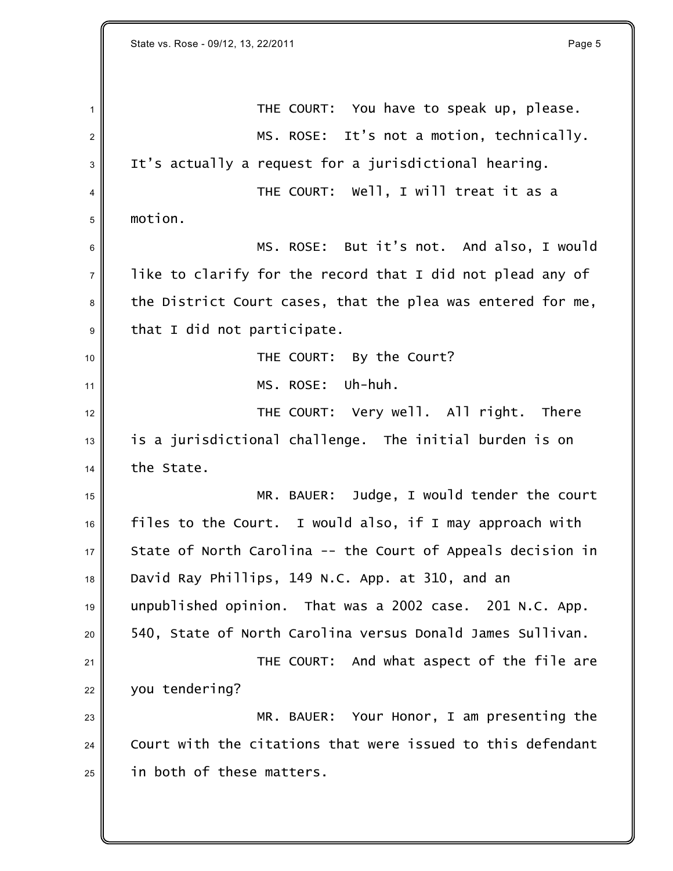State vs. Rose - 09/12, 13, 22/2011 **Page 5** 

| $\mathbf{1}$   | THE COURT: You have to speak up, please.                    |
|----------------|-------------------------------------------------------------|
| $\overline{2}$ | It's not a motion, technically.<br>MS. ROSE:                |
| 3              | It's actually a request for a jurisdictional hearing.       |
| 4              | THE COURT: Well, I will treat it as a                       |
| 5              | motion.                                                     |
| 6              | MS. ROSE: But it's not. And also, I would                   |
| $\overline{7}$ | like to clarify for the record that I did not plead any of  |
| 8              | the District Court cases, that the plea was entered for me, |
| 9              | that I did not participate.                                 |
| 10             | THE COURT: By the Court?                                    |
| 11             | Uh-huh.<br>MS. ROSE:                                        |
| 12             | THE COURT: Very well. All right. There                      |
| 13             | is a jurisdictional challenge. The initial burden is on     |
| 14             | the State.                                                  |
| 15             | MR. BAUER: Judge, I would tender the court                  |
| 16             | files to the Court. I would also, if I may approach with    |
| 17             | State of North Carolina -- the Court of Appeals decision in |
| 18             | David Ray Phillips, 149 N.C. App. at 310, and an            |
| 19             | unpublished opinion. That was a 2002 case. 201 N.C. App.    |
| 20             | 540, State of North Carolina versus Donald James Sullivan.  |
| 21             | THE COURT: And what aspect of the file are                  |
| 22             | you tendering?                                              |
| 23             | Your Honor, I am presenting the<br>MR. BAUER:               |
| 24             | Court with the citations that were issued to this defendant |
| 25             | in both of these matters.                                   |
|                |                                                             |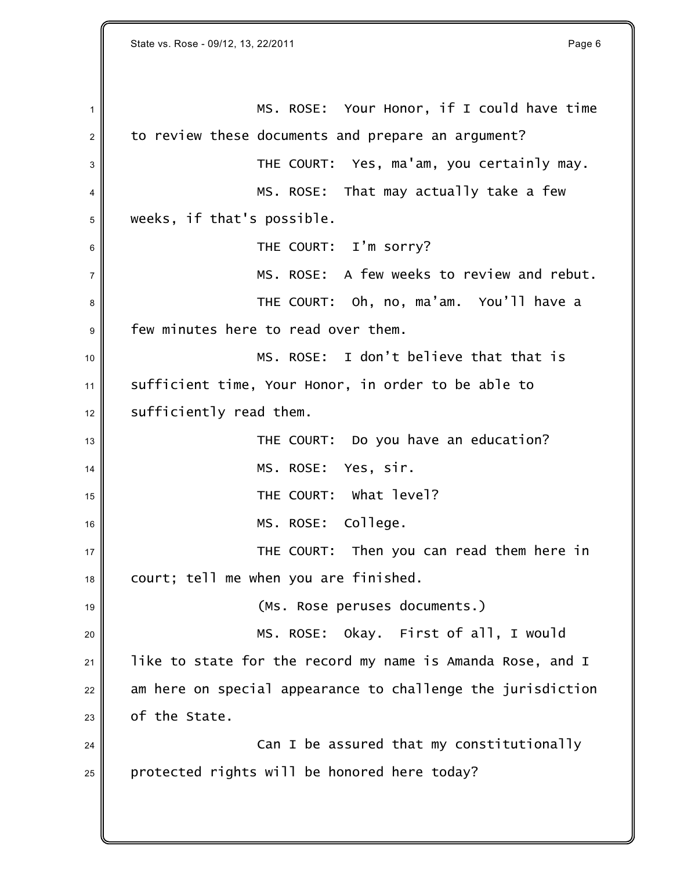1 MS. ROSE: Your Honor, if I could have time  $2 \parallel$  to review these documents and prepare an argument? THE COURT: Yes, ma'am, you certainly may. 4 MS. ROSE: That may actually take a few weeks, if that's possible. **6** THE COURT: I'm sorry?  $7 \parallel$  MS. ROSE: A few weeks to review and rebut. THE COURT: Oh, no, ma'am. You'll have a few minutes here to read over them. 10 MS. ROSE: I don't believe that that is sufficient time, Your Honor, in order to be able to sufficiently read them. THE COURT: Do you have an education? MS. ROSE: Yes, sir. THE COURT: What level? MS. ROSE: College.  $\parallel$  court; tell me when you are finished. **decision (MS. Rose peruses documents.)**  MS. ROSE: Okay. First of all, I would like to state for the record my name is Amanda Rose, and I am here on special appearance to challenge the jurisdiction of the State.  $\parallel$  Can I be assured that my constitutionally protected rights will be honored here today?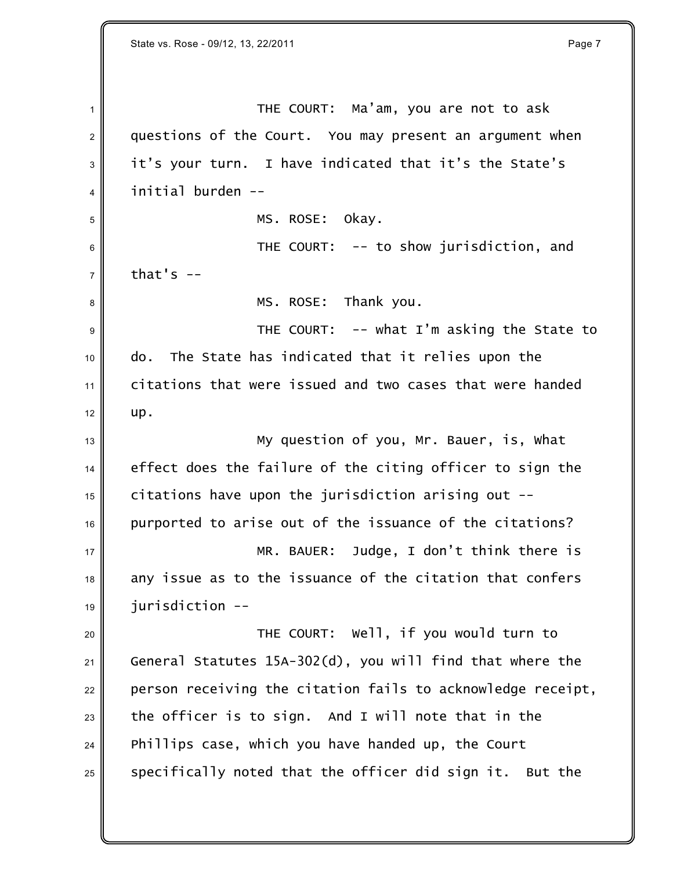1 THE COURT: Ma'am, you are not to ask 2 questions of the Court. You may present an argument when  $3$  it's your turn. I have indicated that it's the State's <sup>4</sup> initial burden --

5 MS. ROSE: Okay.

<sup>6</sup> THE COURT: -- to show jurisdiction, and  $7 \parallel$  that's  $-$ 

8 MS. ROSE: Thank you.

9 July 2010 THE COURT: -- what I'm asking the State to 10 do. The State has indicated that it relies upon the <sup>11</sup> citations that were issued and two cases that were handed  $12 \parallel \text{up.}$ 

 $\parallel$  13 My question of you, Mr. Bauer, is, What 14 effect does the failure of the citing officer to sign the  $15$  citations have upon the jurisdiction arising out  $-$ 16 || purported to arise out of the issuance of the citations? 17 MR. BAUER: Judge, I don't think there is  $18$  any issue as to the issuance of the citation that confers  $19$  jurisdiction  $-$ 

 THE COURT: Well, if you would turn to General Statutes 15A-302(d), you will find that where the person receiving the citation fails to acknowledge receipt, the officer is to sign. And I will note that in the Phillips case, which you have handed up, the Court specifically noted that the officer did sign it. But the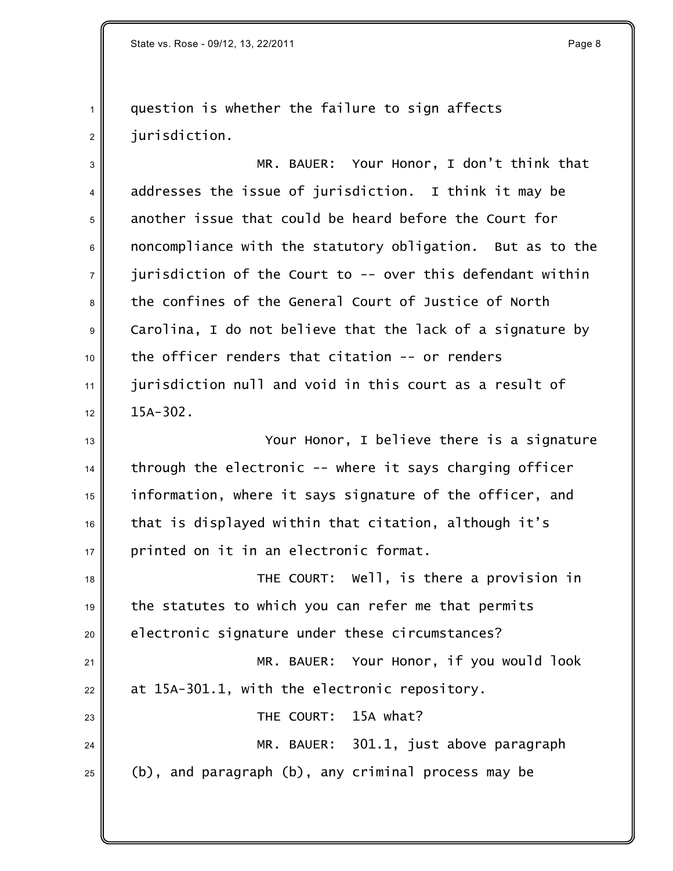State vs. Rose - 09/12, 13, 22/2011 **Page 8** and the state vs. Rose - 09/12, 13, 22/2011

# question is whether the failure to sign affects 2 || iurisdiction.

3 MR. BAUER: Your Honor, I don't think that  $4 \parallel$  addresses the issue of jurisdiction. I think it may be 5 another issue that could be heard before the Court for 6 noncompliance with the statutory obligation. But as to the  $\parallel$  jurisdiction of the Court to -- over this defendant within the confines of the General Court of Justice of North 9 Carolina, I do not believe that the lack of a signature by the officer renders that citation -- or renders jurisdiction null and void in this court as a result of  $12 \parallel 15A-302$ .

**No. 2.** Your Honor, I believe there is a signature through the electronic -- where it says charging officer information, where it says signature of the officer, and that is displayed within that citation, although it's printed on it in an electronic format.

 THE COURT: Well, is there a provision in the statutes to which you can refer me that permits electronic signature under these circumstances? 21 MR. BAUER: Your Honor, if you would look at 15A-301.1, with the electronic repository. **23** THE COURT: 15A what? 24 MR. BAUER: 301.1, just above paragraph (b), and paragraph (b), any criminal process may be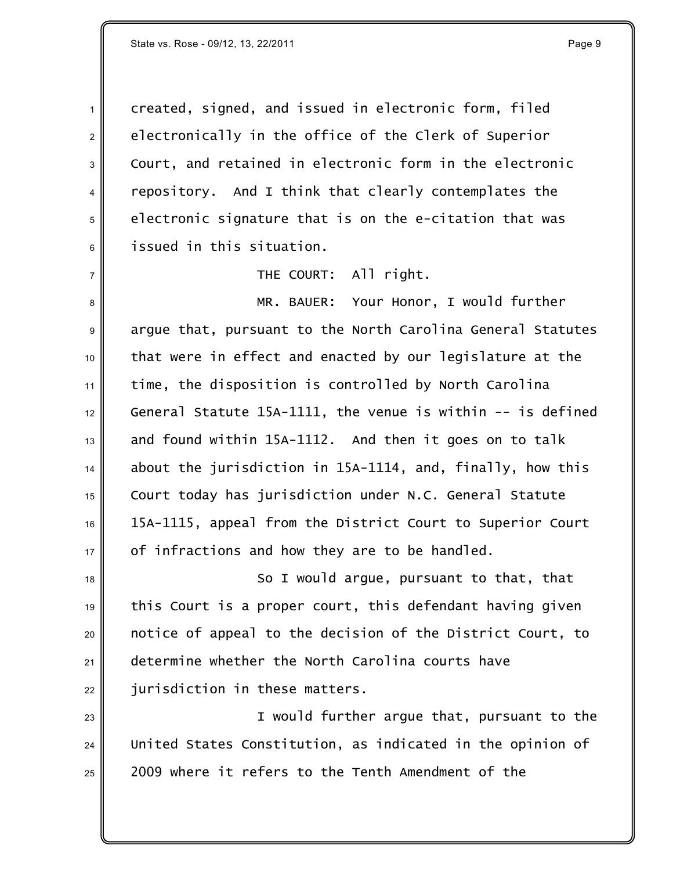1 created, signed, and issued in electronic form, filed  $2 \parallel$  electronically in the office of the Clerk of Superior 3 Court, and retained in electronic form in the electronic 4 repository. And I think that clearly contemplates the  $5$  electronic signature that is on the e-citation that was <sup>6</sup> issued in this situation.

 $7 \parallel$  THE COURT: All right.

8 MR. BAUER: Your Honor, I would further 9 argue that, pursuant to the North Carolina General Statutes that were in effect and enacted by our legislature at the time, the disposition is controlled by North Carolina General Statute 15A-1111, the venue is within -- is defined and found within 15A-1112. And then it goes on to talk about the jurisdiction in 15A-1114, and, finally, how this Court today has jurisdiction under N.C. General Statute 15A-1115, appeal from the District Court to Superior Court  $17 \parallel$  of infractions and how they are to be handled.

 $\parallel$  so I would argue, pursuant to that, that  $19$  this Court is a proper court, this defendant having given <sup>20</sup> notice of appeal to the decision of the District Court, to 21 determine whether the North Carolina courts have  $22$   $\parallel$  jurisdiction in these matters.

23 || I would further argue that, pursuant to the 24 United States Constitution, as indicated in the opinion of  $_{25}$   $\parallel$  2009 where it refers to the Tenth Amendment of the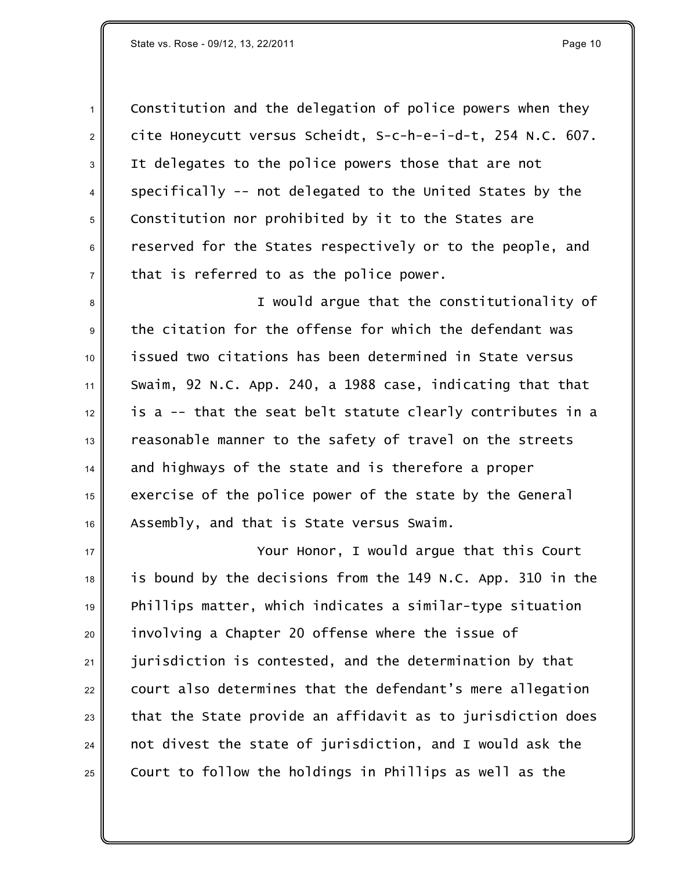State vs. Rose - 09/12, 13, 22/2011 **Page 10 Page 10** 

 Constitution and the delegation of police powers when they cite *Honeycutt versus Scheidt*, S-c-h-e-i-d-t, 254 N.C. 607. It delegates to the police powers those that are not  $4 \parallel$  specifically -- not delegated to the United States by the 5 Constitution nor prohibited by it to the States are 6 can reserved for the States respectively or to the people, and that is referred to as the police power.

8 || I would argue that the constitutionality of the citation for the offense for which the defendant was issued two citations has been determined in *State versus Swaim*, 92 N.C. App. 240, a 1988 case, indicating that that  $\parallel$  is a -- that the seat belt statute clearly contributes in a reasonable manner to the safety of travel on the streets and highways of the state and is therefore a proper exercise of the police power of the state by the General Assembly, and that is *State versus Swaim.*

**No. 2.** Your Honor, I would arque that this Court is bound by the decisions from the 149 N.C. App. 310 in the Phillips matter, which indicates a similar-type situation 20 involving a Chapter 20 offense where the issue of jurisdiction is contested, and the determination by that court also determines that the defendant's mere allegation that the State provide an affidavit as to jurisdiction does not divest the state of jurisdiction, and I would ask the  $_{25}\parallel$   $\,$  Court to follow the holdings in Phillips as well as the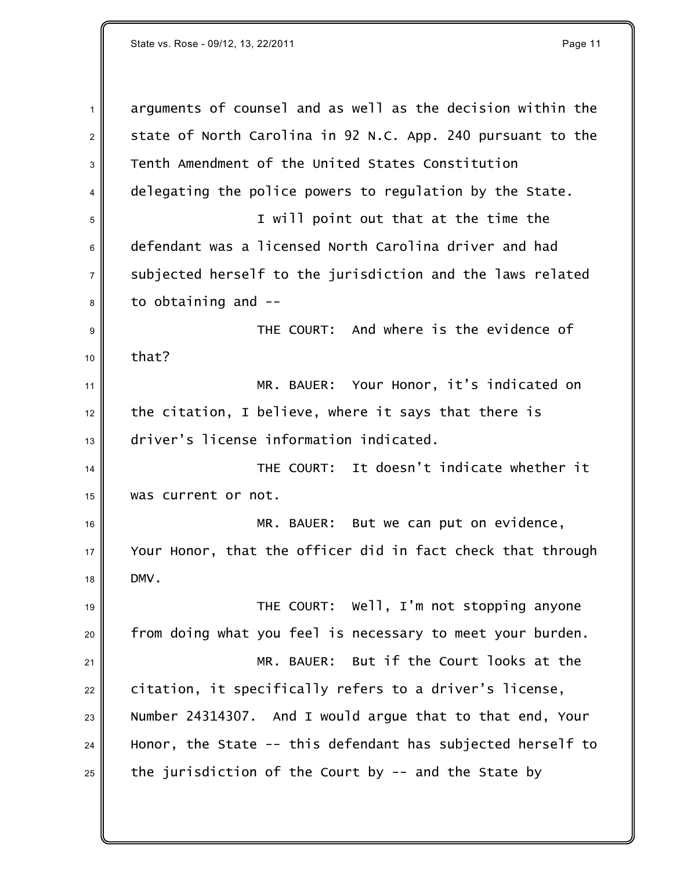| $\mathbf{1}$ | arguments of counsel and as well as the decision within the |
|--------------|-------------------------------------------------------------|
| 2            | state of North Carolina in 92 N.C. App. 240 pursuant to the |
| 3            | Tenth Amendment of the United States Constitution           |
| 4            | delegating the police powers to regulation by the State.    |
| 5            | I will point out that at the time the                       |
| 6            | defendant was a licensed North Carolina driver and had      |
| 7            | subjected herself to the jurisdiction and the laws related  |
| 8            | to obtaining and --                                         |
| 9            | THE COURT: And where is the evidence of                     |
| 10           | that?                                                       |
| 11           | Your Honor, it's indicated on<br>MR. BAUER:                 |
| 12           | the citation, I believe, where it says that there is        |
| 13           | driver's license information indicated.                     |
| 14           | THE COURT: It doesn't indicate whether it                   |
| 15           | was current or not.                                         |
| 16           | MR. BAUER: But we can put on evidence,                      |
| 17           | Your Honor, that the officer did in fact check that through |
| 18           | DMV.                                                        |
| 19           | THE COURT: Well, I'm not stopping anyone                    |
| 20           | from doing what you feel is necessary to meet your burden.  |
| 21           | But if the Court looks at the<br>MR. BAUER:                 |
| 22           | citation, it specifically refers to a driver's license,     |
| 23           | Number 24314307. And I would argue that to that end, Your   |
| 24           | Honor, the State -- this defendant has subjected herself to |
| 25           | the jurisdiction of the Court by $-$ and the State by       |
|              |                                                             |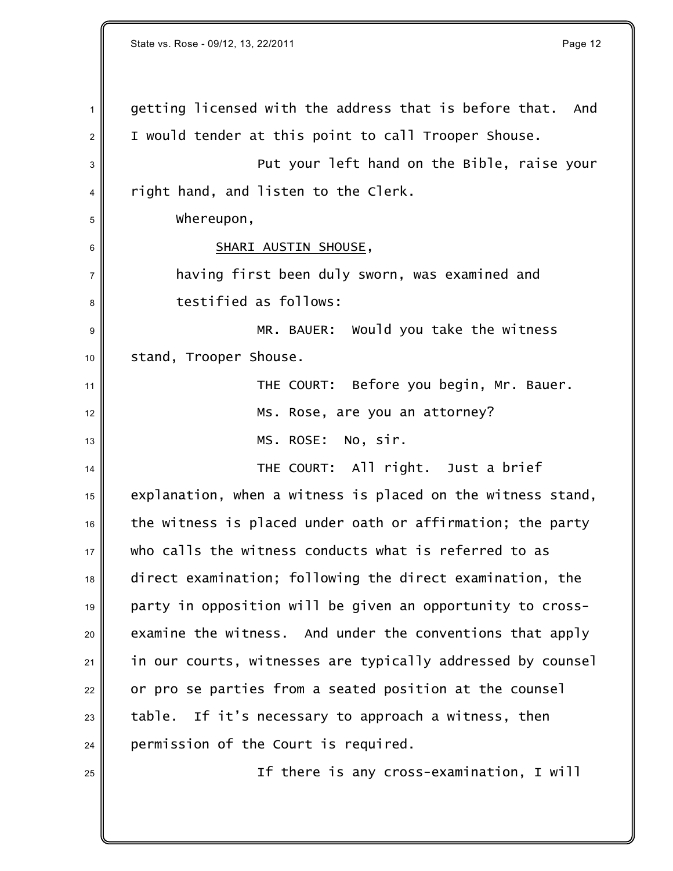State vs. Rose - 09/12, 13, 22/2011 **Page 12** and the state vs. Rose - 09/12, 13, 22/2011 getting licensed with the address that is before that. And  $2 \parallel$  I would tender at this point to call Trooper Shouse. **Put your left hand on the Bible, raise your**  $4 \parallel$  right hand, and listen to the Clerk. Whereupon, 6 || SHARI AUSTIN SHOUSE, having first been duly sworn, was examined and **b** testified as follows: MR. BAUER: Would you take the witness 10 stand, Trooper Shouse. THE COURT: Before you begin, Mr. Bauer. 12 Ms. Rose, are you an attorney? 13 || MS. ROSE: No, sir. THE COURT: All right. Just a brief explanation, when a witness is placed on the witness stand, the witness is placed under oath or affirmation; the party  $_{17}\parallel$   $\parallel$  who calls the witness conducts what is referred to as direct examination; following the direct examination, the party in opposition will be given an opportunity to cross- examine the witness. And under the conventions that apply in our courts, witnesses are typically addressed by counsel or pro se parties from a seated position at the counsel table. If it's necessary to approach a witness, then permission of the Court is required. If there is any cross-examination, I will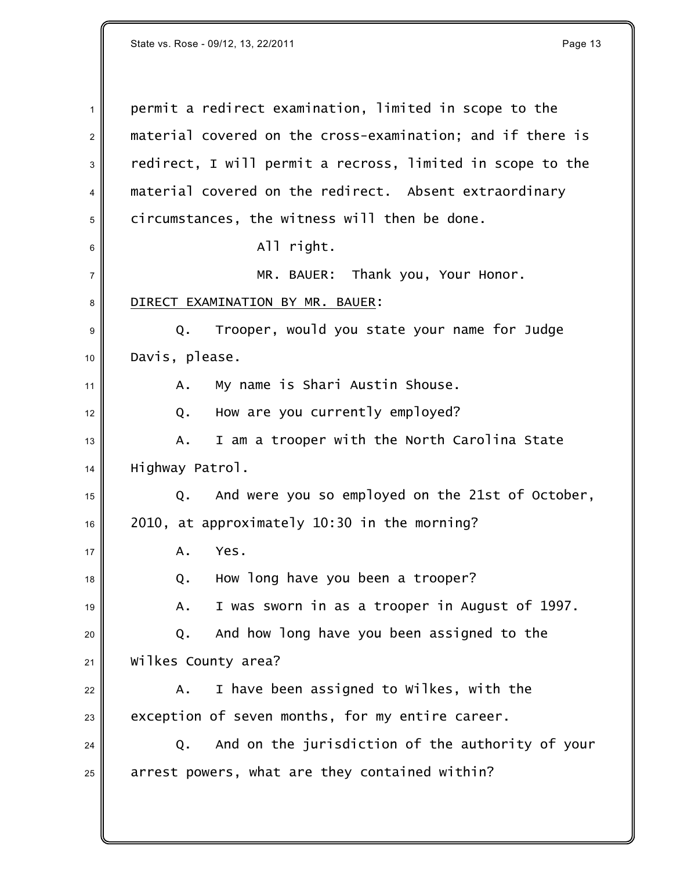| $\mathbf{1}$ | permit a redirect examination, limited in scope to the     |
|--------------|------------------------------------------------------------|
|              |                                                            |
| $\sqrt{2}$   | material covered on the cross-examination; and if there is |
| $\sqrt{3}$   | redirect, I will permit a recross, limited in scope to the |
| 4            | material covered on the redirect. Absent extraordinary     |
| 5            | circumstances, the witness will then be done.              |
| 6            | All right.                                                 |
| 7            | MR. BAUER: Thank you, Your Honor.                          |
| 8            | DIRECT EXAMINATION BY MR. BAUER:                           |
| 9            | Trooper, would you state your name for Judge<br>Q.         |
| 10           | Davis, please.                                             |
| 11           | My name is Shari Austin Shouse.<br>Α.                      |
| 12           | How are you currently employed?<br>Q.                      |
| 13           | I am a trooper with the North Carolina State<br>Α.         |
| 14           | Highway Patrol.                                            |
| 15           | Q. And were you so employed on the 21st of October,        |
| 16           | 2010, at approximately 10:30 in the morning?               |
| 17           | Yes.<br>Α.                                                 |
| 18           | How long have you been a trooper?<br>Q.                    |
| 19           | I was sworn in as a trooper in August of 1997.<br>Α.       |
| 20           | And how long have you been assigned to the<br>Q.           |
| 21           | Wilkes County area?                                        |
| 22           | I have been assigned to Wilkes, with the<br>Α.             |
| 23           | exception of seven months, for my entire career.           |
| 24           | And on the jurisdiction of the authority of your<br>Q.     |
| 25           | arrest powers, what are they contained within?             |
|              |                                                            |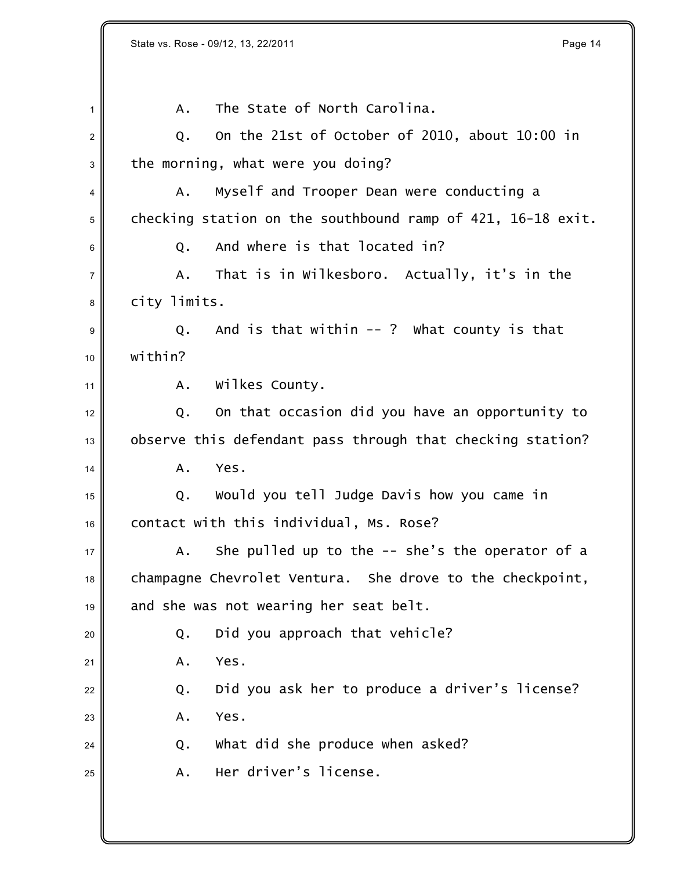|                | State vs. Rose - 09/12, 13, 22/2011<br>Page 14              |
|----------------|-------------------------------------------------------------|
|                |                                                             |
| $\mathbf{1}$   | The State of North Carolina.<br>Α.                          |
| $\overline{2}$ | On the 21st of October of 2010, about 10:00 in<br>Q.        |
| 3              | the morning, what were you doing?                           |
| 4              | Myself and Trooper Dean were conducting a<br>Α.             |
| 5              | checking station on the southbound ramp of 421, 16-18 exit. |
| 6              | And where is that located in?<br>Q.                         |
| $\overline{7}$ | That is in Wilkesboro. Actually, it's in the<br>Α.          |
| 8              | city limits.                                                |
| 9              | And is that within $--$ ? What county is that<br>Q.         |
| 10             | within?                                                     |
| 11             | wilkes County.<br>A.                                        |
| 12             | On that occasion did you have an opportunity to<br>Q.       |
| 13             | observe this defendant pass through that checking station?  |
| 14             | Yes.<br>A.                                                  |
| 15             | Would you tell Judge Davis how you came in<br>Q.            |
| 16             | contact with this individual, Ms. Rose?                     |
| 17             | She pulled up to the $-$ she's the operator of a<br>Α.      |
| 18             | champagne Chevrolet Ventura. She drove to the checkpoint,   |
| 19             | and she was not wearing her seat belt.                      |
| 20             | Did you approach that vehicle?<br>Q.                        |
| 21             | Yes.<br>Α.                                                  |
| 22             | Did you ask her to produce a driver's license?<br>Q.        |
| 23             | Yes.<br>Α.                                                  |
| 24             | what did she produce when asked?<br>Q.                      |
| 25             | Her driver's license.<br>Α.                                 |
|                |                                                             |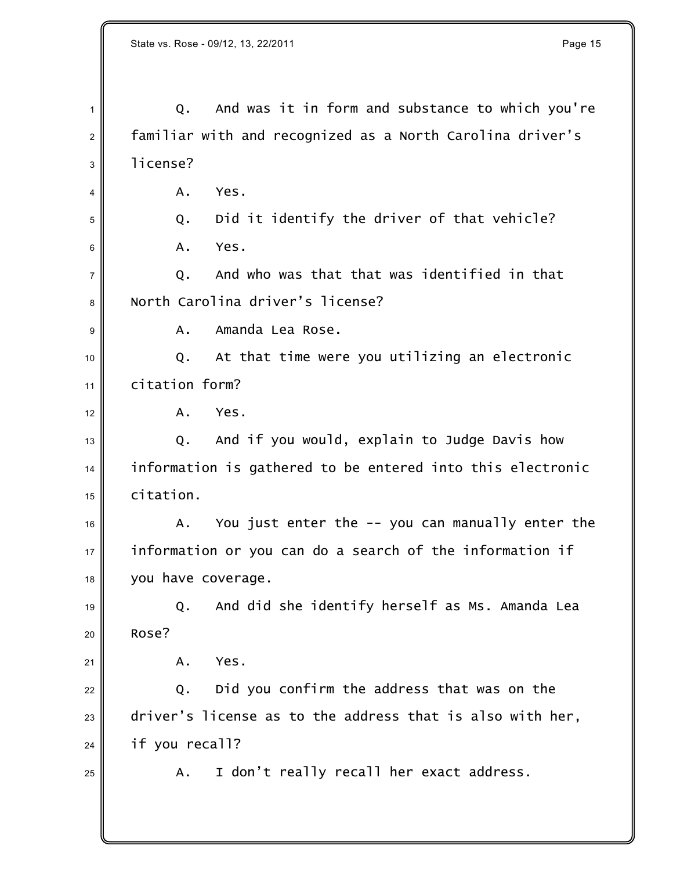Q. And was it in form and substance to which you're familiar with and recognized as a North Carolina driver's 3 l license?  $4 \parallel$  A. Yes. 5 Q. Did it identify the driver of that vehicle?  $6 \parallel$  A. Yes.  $\parallel$  0. And who was that that was identified in that North Carolina driver's license? **A.** Amanda Lea Rose.  $\parallel$  Q. At that time were you utilizing an electronic  $\parallel$  citation form?  $12 \parallel$  A. Yes. 13 Q. And if you would, explain to Judge Davis how information is gathered to be entered into this electronic citation.  $\parallel$  A. You just enter the -- you can manually enter the  $\parallel$  information or you can do a search of the information if you have coverage.  $_{19}$   $\parallel$  Q. And did she identify herself as Ms. Amanda Lea <sup>20</sup> Rose?  $\parallel$  A. Yes. Q. Did you confirm the address that was on the driver's license as to the address that is also with her, if you recall?  $_{25}$   $\parallel$  A. I don't really recall her exact address.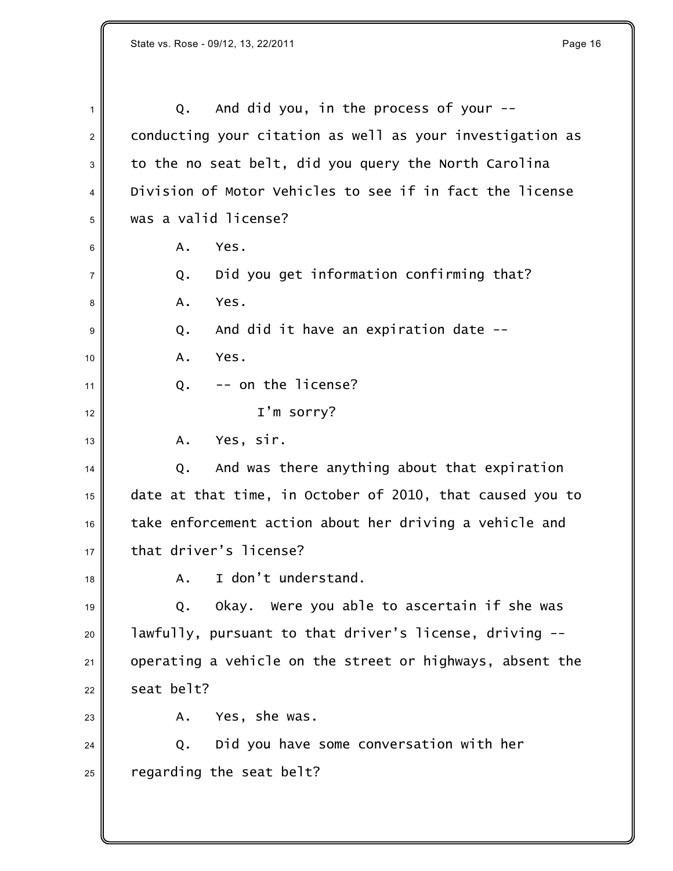$1 \parallel$  Q. And did you, in the process of your --2 conducting your citation as well as your investigation as to the no seat belt, did you query the North Carolina Division of Motor Vehicles to see if in fact the license was a valid license?  $\parallel$  A. Yes. Q. Did you get information confirming that? **A.** Yes. 9 Q. And did it have an expiration date -- $10 \parallel$  A. Yes. Q.  $-$  on the license? I'm sorry? A. Yes, sir. Q. And was there anything about that expiration date at that time, in October of 2010, that caused you to take enforcement action about her driving a vehicle and  $17 \parallel$  that driver's license?  $\parallel$  A. I don't understand. Q. Okay. Were you able to ascertain if she was lawfully, pursuant to that driver's license, driving  $-$  operating a vehicle on the street or highways, absent the  $22 \parallel$  seat belt? A. Yes, she was. Q. Did you have some conversation with her regarding the seat belt?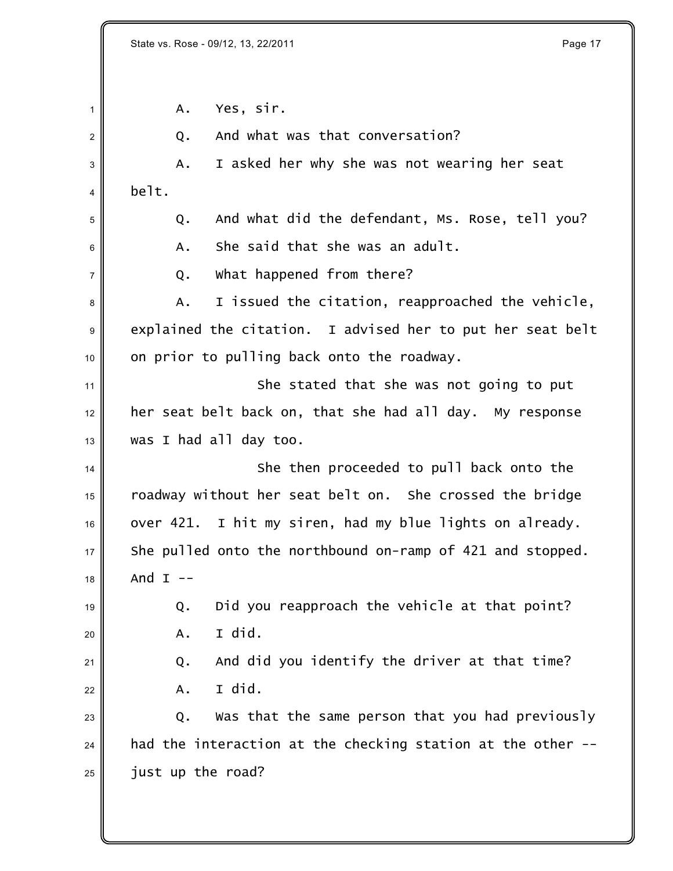| $\mathbf{1}$ | Yes, sir.<br>Α.                                             |
|--------------|-------------------------------------------------------------|
| 2            | And what was that conversation?<br>Q.                       |
| 3            | I asked her why she was not wearing her seat<br>Α.          |
| 4            | belt.                                                       |
| 5            | And what did the defendant, Ms. Rose, tell you?<br>Q.       |
| 6            | She said that she was an adult.<br>Α.                       |
| 7            | What happened from there?<br>Q.                             |
| 8            | I issued the citation, reapproached the vehicle,<br>Α.      |
| 9            | explained the citation. I advised her to put her seat belt  |
| 10           | on prior to pulling back onto the roadway.                  |
| 11           | She stated that she was not going to put                    |
| 12           | her seat belt back on, that she had all day. My response    |
| 13           | was I had all day too.                                      |
| 14           | She then proceeded to pull back onto the                    |
| 15           | roadway without her seat belt on. She crossed the bridge    |
| 16           | over 421. I hit my siren, had my blue lights on already.    |
| 17           | She pulled onto the northbound on-ramp of 421 and stopped.  |
| 18           | And $I$ --                                                  |
| 19           | Did you reapproach the vehicle at that point?<br>Q.         |
| 20           | I did.<br>A.                                                |
| 21           | And did you identify the driver at that time?<br>Q.         |
| 22           | I did.<br>A.                                                |
| 23           | Was that the same person that you had previously<br>Q.      |
| 24           | had the interaction at the checking station at the other -- |
| 25           | just up the road?                                           |
|              |                                                             |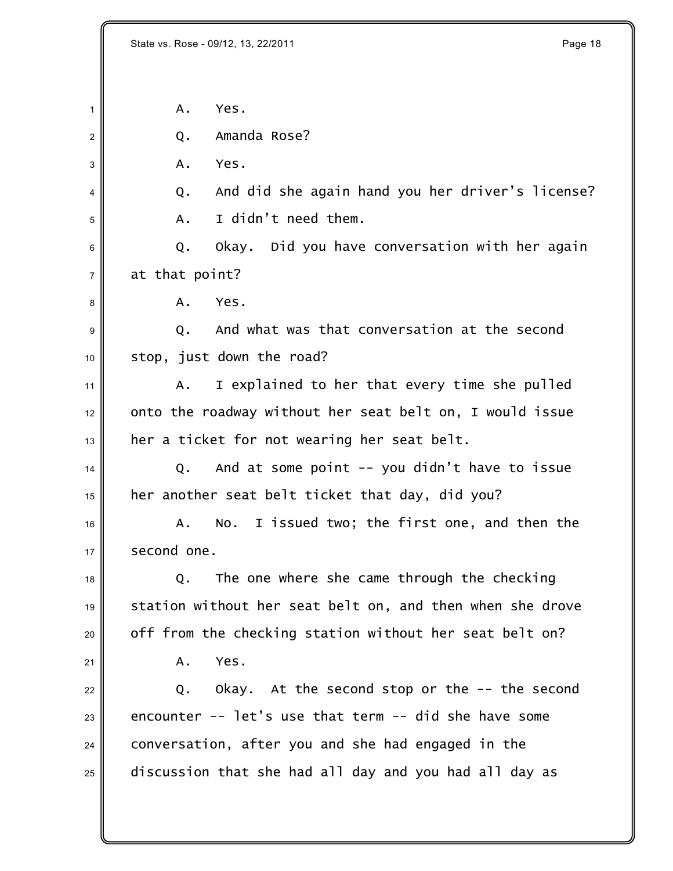State vs. Rose - 09/12, 13, 22/2011 **Page 18** 

 $1 \parallel$  A. Yes.

2 O. Amanda Rose?

 $3 \parallel$  A. Yes.

 $\Vert$  4 Q. And did she again hand you her driver's license?  $\parallel$  A. I didn't need them.

6 Q. Okay. Did you have conversation with her again at that point?

**A.** Yes.

 $\mathfrak{g} \parallel$   $\qquad \qquad$  O.  $\qquad$  And what was that conversation at the second stop, just down the road?

  $\parallel$  A. I explained to her that every time she pulled onto the roadway without her seat belt on, I would issue her a ticket for not wearing her seat belt.

 Q. And at some point -- you didn't have to issue her another seat belt ticket that day, did you?

  $\parallel$  A. No. I issued two; the first one, and then the  $17 \parallel$  second one.

 Q. The one where she came through the checking station without her seat belt on, and then when she drove off from the checking station without her seat belt on?

A. Yes.

 Q. Okay. At the second stop or the  $-$  the second 23 encounter  $-$  let's use that term  $-$  did she have some conversation, after you and she had engaged in the discussion that she had all day and you had all day as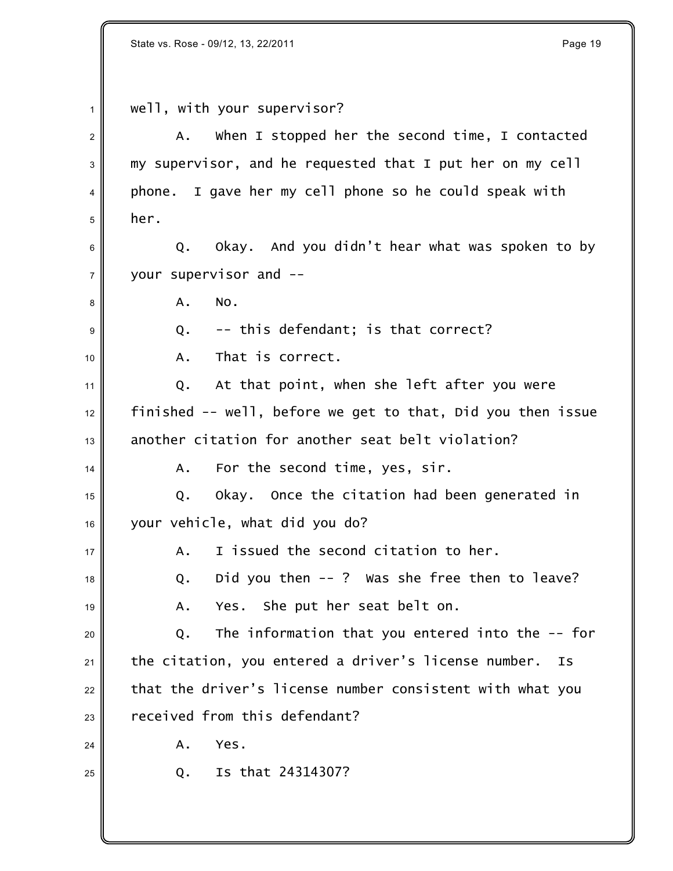$1 \parallel$  well, with your supervisor?  $\parallel$  A. When I stopped her the second time, I contacted 3 my supervisor, and he requested that I put her on my cell  $4 \parallel$  phone. I gave her my cell phone so he could speak with her. 6 Q. Okay. And you didn't hear what was spoken to by  $7 \parallel$  your supervisor and  $\mathsf{B} \parallel \qquad \qquad \mathsf{A}$ . No. 9 Q. -- this defendant; is that correct? A. That is correct. Q. At that point, when she left after you were finished -- well, before we get to that, Did you then issue another citation for another seat belt violation? A. For the second time, yes, sir. Q. Okay. Once the citation had been generated in your vehicle, what did you do?  $\parallel$  A. I issued the second citation to her. Q. Did you then -- ? Was she free then to leave?  $\parallel$  A. Yes. She put her seat belt on. Q. The information that you entered into the -- for the citation, you entered a driver's license number. Is that the driver's license number consistent with what you received from this defendant?  $24 \parallel$  A. Yes.  $_{25}$  |  $_{25}$  |  $_{0}$  Is that 24314307?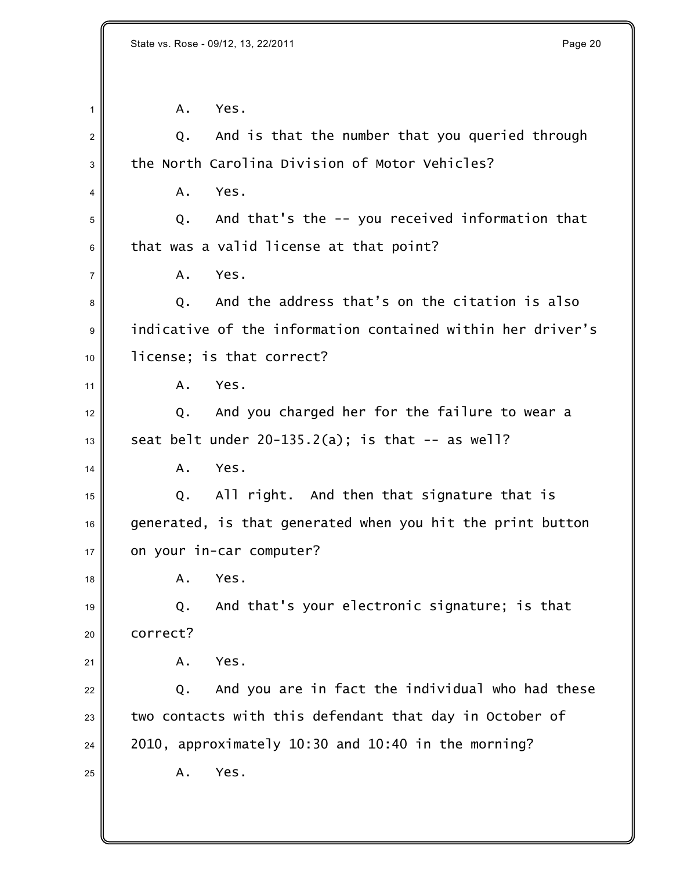$1 \parallel$  A. Yes.

| 2              | And is that the number that you queried through<br>Q.       |
|----------------|-------------------------------------------------------------|
| 3              | the North Carolina Division of Motor Vehicles?              |
| 4              | Yes.<br>Α.                                                  |
| 5              | And that's the -- you received information that<br>Q.       |
| 6              | that was a valid license at that point?                     |
| $\overline{7}$ | Yes.<br>Α.                                                  |
| 8              | And the address that's on the citation is also<br>Q.        |
| 9              | indicative of the information contained within her driver's |
| 10             | license; is that correct?                                   |
| 11             | Yes.<br>A.                                                  |
| 12             | And you charged her for the failure to wear a<br>Q.         |
| 13             | seat belt under $20-135.2(a)$ ; is that $-$ as well?        |
| 14             | Yes.<br>Α.                                                  |
| 15             | All right. And then that signature that is<br>Q.            |
| 16             | generated, is that generated when you hit the print button  |
| 17             | on your in-car computer?                                    |
| 18             | Yes.<br>Α.                                                  |
| 19             | And that's your electronic signature; is that<br>Q.         |
| 20             | correct?                                                    |
| 21             | Yes.<br>Α.                                                  |
| 22             | And you are in fact the individual who had these<br>Q.      |
| 23             | two contacts with this defendant that day in October of     |
| 24             | 2010, approximately 10:30 and 10:40 in the morning?         |
| 25             | Yes.<br>Α.                                                  |
|                |                                                             |
|                |                                                             |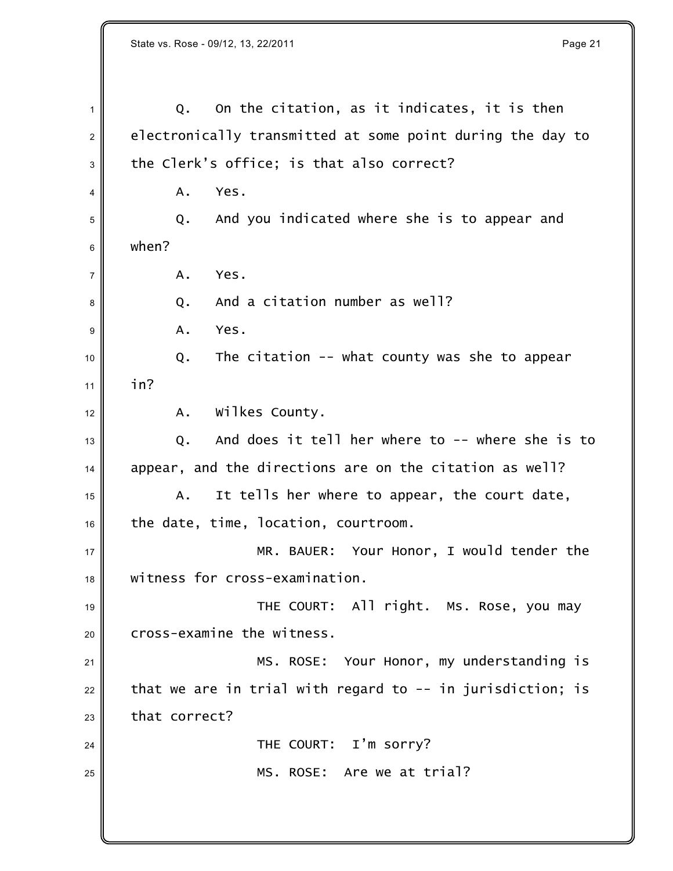Q. On the citation, as it indicates, it is then  $2 \parallel$  electronically transmitted at some point during the day to the Clerk's office; is that also correct?  $4 \parallel$  A. Yes. Q. And you indicated where she is to appear and  $6 \parallel$  when?  $7 \parallel$  A. Yes.  $\vert$ 8  $\vert$  Q. And a citation number as well? **A. Yes.**  Q. The citation -- what county was she to appear 11 |  $\ln$  in? A. Wilkes County. Q. And does it tell her where to -- where she is to appear, and the directions are on the citation as well? A. It tells her where to appear, the court date, the date, time, location, courtroom. 17 MR. BAUER: Your Honor, I would tender the witness for cross-examination. 19 THE COURT: All right. Ms. Rose, you may cross-examine the witness. 21 || MS. ROSE: Your Honor, my understanding is that we are in trial with regard to  $-$ - in jurisdiction; is that correct? **THE COURT:** I'm sorry? MS. ROSE: Are we at trial?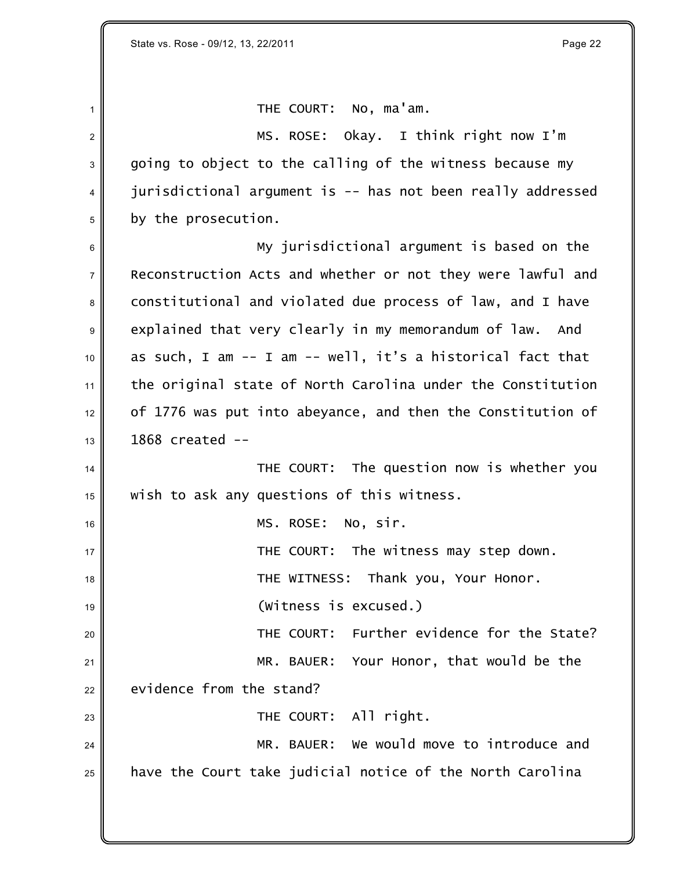$1 \parallel$  THE COURT: No, ma'am. 2 MS. ROSE: Okay. I think right now I'm  $3 \parallel$  going to object to the calling of the witness because my 4 jurisdictional argument is -- has not been really addressed <sup>5</sup> by the prosecution. <sup>6</sup> My jurisdictional argument is based on the <sup>7</sup> Reconstruction Acts and whether or not they were lawful and 8 constitutional and violated due process of law, and I have 9 explained that very clearly in my memorandum of law. And  $10$  as such, I am -- I am -- well, it's a historical fact that  $11$  the original state of North Carolina under the Constitution  $12$  of 1776 was put into abeyance, and then the Constitution of  $13 \parallel$  1868 created  $-$ 14  $\parallel$  THE COURT: The question now is whether you  $15$  wish to ask any questions of this witness. <sup>16</sup> MS. ROSE: No, sir.  $17 \parallel$  THE COURT: The witness may step down. 18 No. 2011 THE WITNESS: Thank you, Your Honor. <sup>19</sup> (Witness is excused.) <sup>20</sup> THE COURT: Further evidence for the State? 21 MR. BAUER: Your Honor, that would be the  $22$  evidence from the stand?  $23$   $\parallel$  THE COURT: All right. 24 MR. BAUER: We would move to introduce and  $25$  have the Court take judicial notice of the North Carolina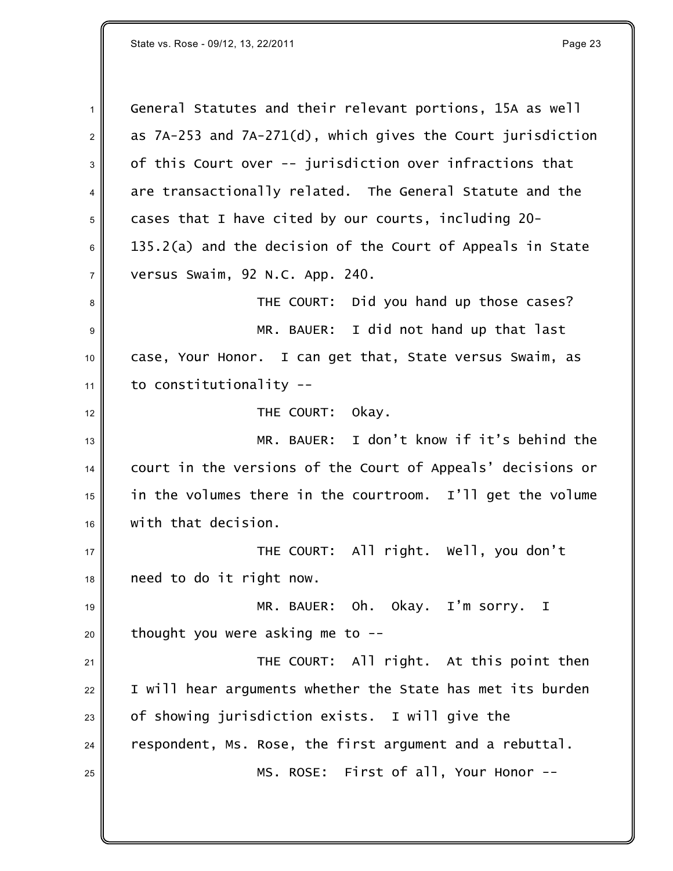1 General Statutes and their relevant portions, 15A as well  $2 \parallel$  as 7A-253 and 7A-271(d), which gives the Court jurisdiction 3 of this Court over -- jurisdiction over infractions that  $4 \parallel$  are transactionally related. The General Statute and the cases that I have cited by our courts, including 20- 135.2(a) and the decision of the Court of Appeals in *State versus Swaim*, 92 N.C. App. 240. THE COURT: Did you hand up those cases? MR. BAUER: I did not hand up that last case, Your Honor. I can get that, *State versus Swaim*, as to constitutionality --**THE COURT:** Okay. MR. BAUER: I don't know if it's behind the court in the versions of the Court of Appeals' decisions or in the volumes there in the courtroom. I'll get the volume 16 with that decision. THE COURT: All right. Well, you don't  $18 \parallel$  need to do it right now. 19 MR. BAUER: Oh. Okay. I'm sorry. I thought you were asking me to  $-$ 21 || THE COURT: All right. At this point then I will hear arguments whether the State has met its burden of showing jurisdiction exists. I will give the respondent, Ms. Rose, the first argument and a rebuttal. MS. ROSE: First of all, Your Honor --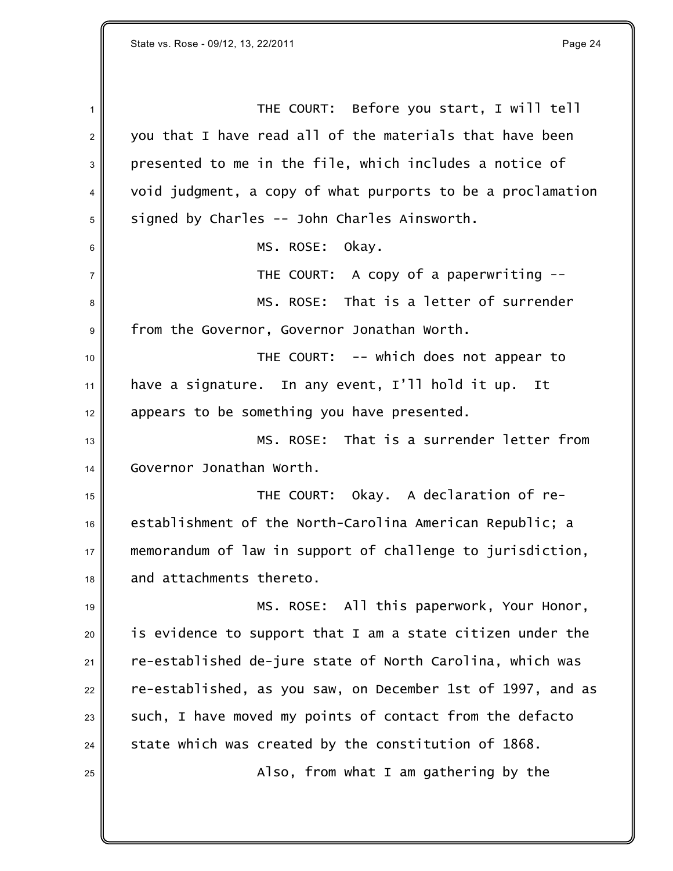1 **THE COURT:** Before you start, I will tell 2 you that I have read all of the materials that have been 3 presented to me in the file, which includes a notice of 4 void judgment, a copy of what purports to be a proclamation  $5 \parallel$  signed by Charles -- John Charles Ainsworth. 6 MS. ROSE: Okay.  $7 \parallel$  THE COURT: A copy of a paperwriting --<sup>8</sup> MS. ROSE: That is a letter of surrender 9 From the Governor, Governor Jonathan Worth. 10 **THE COURT:** -- which does not appear to  $11$  have a signature. In any event, I'll hold it up. It 12 appears to be something you have presented.  $\begin{matrix} \text{13} \end{matrix}$  MS. ROSE: That is a surrender letter from <sup>14</sup> Governor Jonathan Worth. <sup>15</sup> THE COURT: Okay. A declaration of re- $16$  establishment of the North-Carolina American Republic; a <sup>17</sup> memorandum of law in support of challenge to jurisdiction,  $18$  and attachments thereto. 19 MS. ROSE: All this paperwork, Your Honor,  $20$  is evidence to support that I am a state citizen under the  $21$  re-established de-jure state of North Carolina, which was  $22$  re-established, as you saw, on December 1st of 1997, and as  $23$  such, I have moved my points of contact from the defacto  $24$  state which was created by the constitution of 1868.  $25$   $\parallel$   $\qquad$   $\qquad$   $\qquad$   $\qquad$   $\qquad$   $\qquad$   $\qquad$   $\qquad$   $\qquad$   $\qquad$   $\qquad$   $\qquad$   $\qquad$   $\qquad$   $\qquad$   $\qquad$   $\qquad$   $\qquad$   $\qquad$   $\qquad$   $\qquad$   $\qquad$   $\qquad$   $\qquad$   $\qquad$   $\qquad$   $\qquad$   $\qquad$   $\qquad$   $\qquad$   $\qquad$   $\qquad$   $\qquad$   $\qquad$   $\qquad$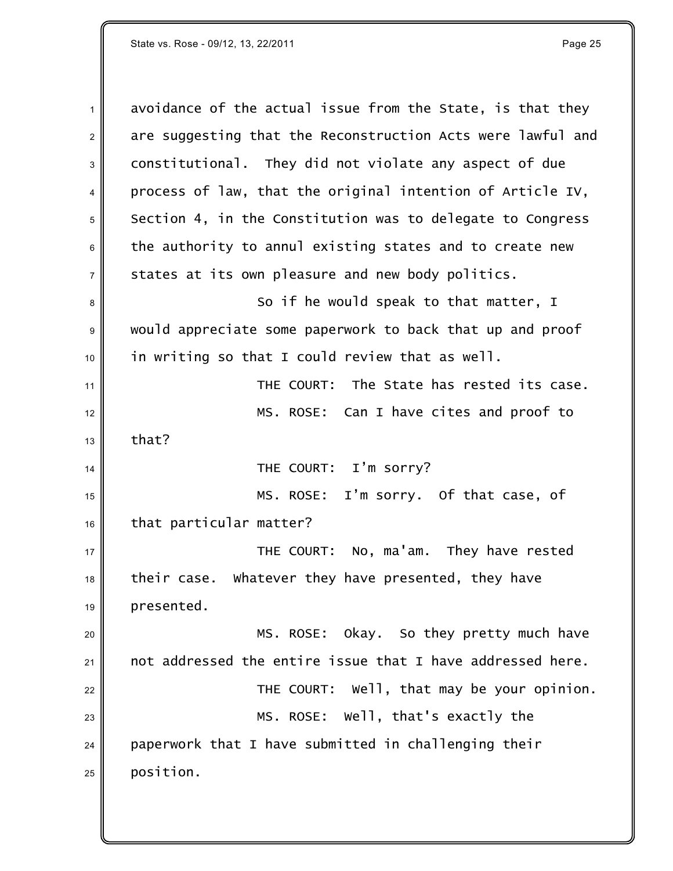$1$  avoidance of the actual issue from the State, is that they 2 are suggesting that the Reconstruction Acts were lawful and 3 constitutional. They did not violate any aspect of due  $4 \parallel$  process of law, that the original intention of Article IV,  $5$  Section 4, in the Constitution was to delegate to Congress  $6$  the authority to annul existing states and to create new  $7 \parallel$  states at its own pleasure and new body politics. 8 So if he would speak to that matter, I <sup>9</sup> would appreciate some paperwork to back that up and proof  $10$  in writing so that I could review that as well. <sup>11</sup> THE COURT: The State has rested its case. 12 || MS. ROSE: Can I have cites and proof to  $13 \parallel$  that? <sup>14</sup> THE COURT: I'm sorry? 15 || MS. ROSE: I'm sorry. Of that case, of  $16$  that particular matter? 17 **Number 2015 THE COURT: No, ma'am.** They have rested  $18$  their case. Whatever they have presented, they have  $19$  presented. 20 MS. ROSE: Okay. So they pretty much have  $21$  not addressed the entire issue that I have addressed here.  $22$   $\parallel$  THE COURT: Well, that may be your opinion. 23 MS. ROSE: Well, that's exactly the  $24$  paperwork that I have submitted in challenging their  $25$  position.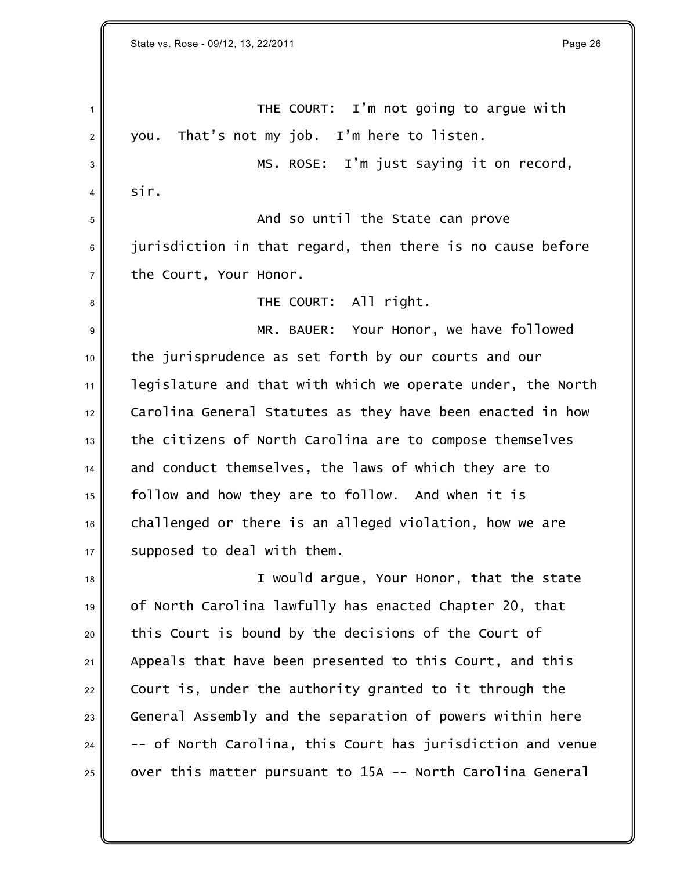State vs. Rose - 09/12, 13, 22/2011 **Page 26** 

1 THE COURT: I'm not going to argue with  $2 \parallel$  you. That's not my job. I'm here to listen. 3 MS. ROSE: I'm just saying it on record,  $4 \parallel$  sir. And so until the State can prove  $\parallel$  jurisdiction in that regard, then there is no cause before  $7 \parallel$  the Court, Your Honor. THE COURT: All right. MR. BAUER: Your Honor, we have followed 10 the jurisprudence as set forth by our courts and our legislature and that with which we operate under, the North 12 Carolina General Statutes as they have been enacted in how the citizens of North Carolina are to compose themselves and conduct themselves, the laws of which they are to follow and how they are to follow. And when it is challenged or there is an alleged violation, how we are  $17 \parallel$  supposed to deal with them. **I** would argue, Your Honor, that the state of North Carolina lawfully has enacted Chapter 20, that this Court is bound by the decisions of the Court of Appeals that have been presented to this Court, and this Court is, under the authority granted to it through the General Assembly and the separation of powers within here  $-$  -- of North Carolina, this Court has jurisdiction and venue  $_{25}\parallel$   $\,$  over this matter pursuant to 15A -- North Carolina General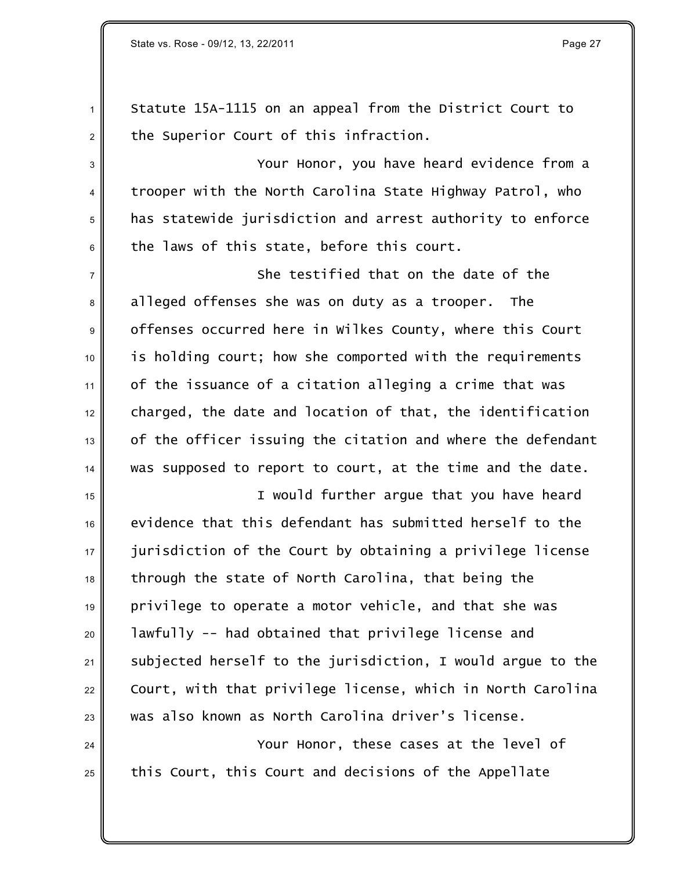Statute 15A-1115 on an appeal from the District Court to  $2 \parallel$  the Superior Court of this infraction.

 Your Honor, you have heard evidence from a  $4 \parallel$  trooper with the North Carolina State Highway Patrol, who has statewide jurisdiction and arrest authority to enforce the laws of this state, before this court.

 $7 \parallel$  she testified that on the date of the state of the state of the state of the state of the state of the state of the state of the state of the state of the state of the state of the state of the state of the state of 8 alleged offenses she was on duty as a trooper. The 9 offenses occurred here in Wilkes County, where this Court is holding court; how she comported with the requirements of the issuance of a citation alleging a crime that was charged, the date and location of that, the identification of the officer issuing the citation and where the defendant was supposed to report to court, at the time and the date.

15 || I would further arque that you have heard  $\parallel$  evidence that this defendant has submitted herself to the  $\parallel$  iurisdiction of the Court by obtaining a privilege license through the state of North Carolina, that being the privilege to operate a motor vehicle, and that she was | lawfully -- had obtained that privilege license and subjected herself to the jurisdiction, I would argue to the Court, with that privilege license, which in North Carolina was also known as North Carolina driver's license.

**Your Honor, these cases at the level of**  $_{25}\parallel$   $\,$  this Court, this Court and decisions of the Appellate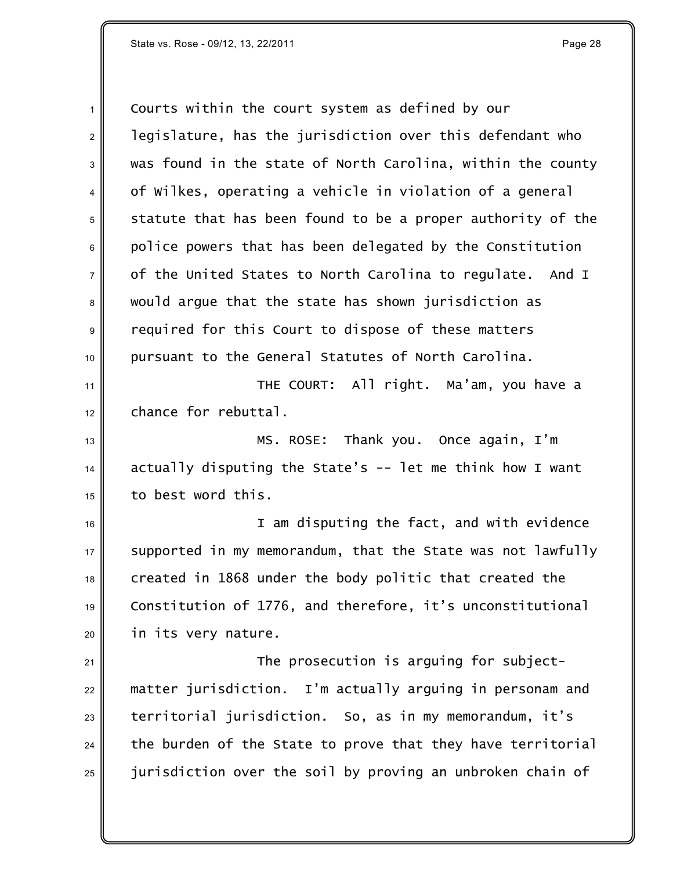Courts within the court system as defined by our  $2 \parallel$  legislature, has the jurisdiction over this defendant who was found in the state of North Carolina, within the county 4 of Wilkes, operating a vehicle in violation of a general statute that has been found to be a proper authority of the police powers that has been delegated by the Constitution  $7 \parallel$  of the United States to North Carolina to regulate. And I 8 would argue that the state has shown jurisdiction as required for this Court to dispose of these matters 10 pursuant to the General Statutes of North Carolina. THE COURT: All right. Ma'am, you have a chance for rebuttal. MS. ROSE: Thank you. Once again, I'm actually disputing the State's -- let me think how I want to best word this. I am disputing the fact, and with evidence supported in my memorandum, that the State was not lawfully created in 1868 under the body politic that created the Constitution of 1776, and therefore, it's unconstitutional in its very nature. **The prosecution is arguing for subject-** matter jurisdiction. I'm actually arguing in personam and territorial jurisdiction. So, as in my memorandum, it's

the burden of the State to prove that they have territorial

 $\parallel$  jurisdiction over the soil by proving an unbroken chain of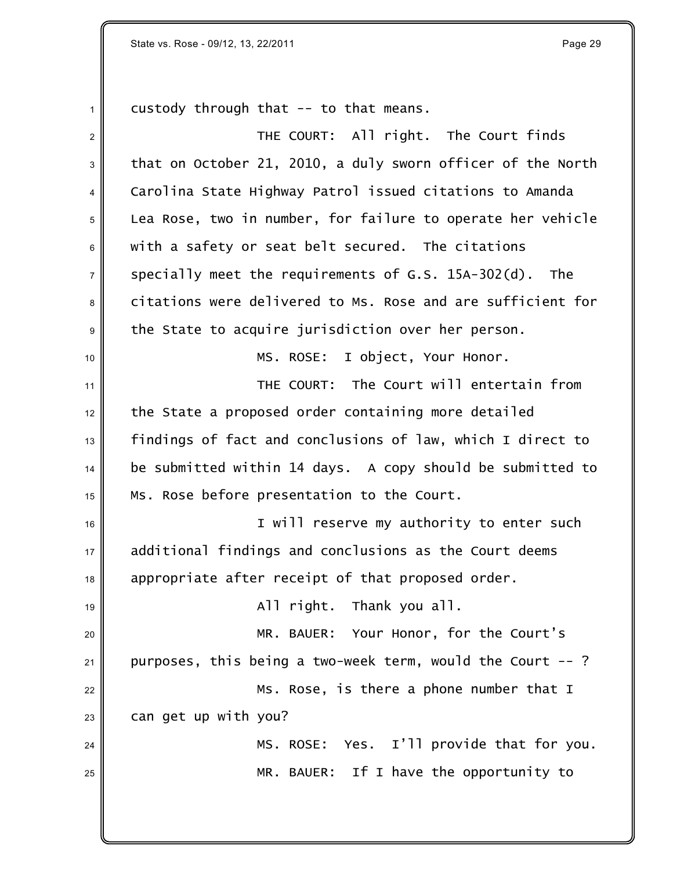$1 \parallel$  custody through that -- to that means.

| $\overline{2}$   | THE COURT: All right. The Court finds                       |
|------------------|-------------------------------------------------------------|
| $\sqrt{3}$       | that on October 21, 2010, a duly sworn officer of the North |
| 4                | Carolina State Highway Patrol issued citations to Amanda    |
| 5                | Lea Rose, two in number, for failure to operate her vehicle |
| 6                | with a safety or seat belt secured. The citations           |
| $\overline{7}$   | specially meet the requirements of G.S. 15A-302(d). The     |
| 8                | citations were delivered to Ms. Rose and are sufficient for |
| $\boldsymbol{9}$ | the State to acquire jurisdiction over her person.          |
| 10               | MS. ROSE: I object, Your Honor.                             |
| 11               | THE COURT: The Court will entertain from                    |
| 12               | the State a proposed order containing more detailed         |
| 13               | findings of fact and conclusions of law, which I direct to  |
| 14               | be submitted within 14 days. A copy should be submitted to  |
| 15               | Ms. Rose before presentation to the Court.                  |
| 16               | I will reserve my authority to enter such                   |
| 17               | additional findings and conclusions as the Court deems      |
| 18               | appropriate after receipt of that proposed order.           |
| 19               | All right. Thank you all.                                   |
| 20               | MR. BAUER: Your Honor, for the Court's                      |
| 21               | purposes, this being a two-week term, would the Court --?   |
| 22               | Ms. Rose, is there a phone number that I                    |
| 23               | can get up with you?                                        |
| 24               | Yes. I'll provide that for you.<br>MS. ROSE:                |
| 25               | MR. BAUER: If I have the opportunity to                     |
|                  |                                                             |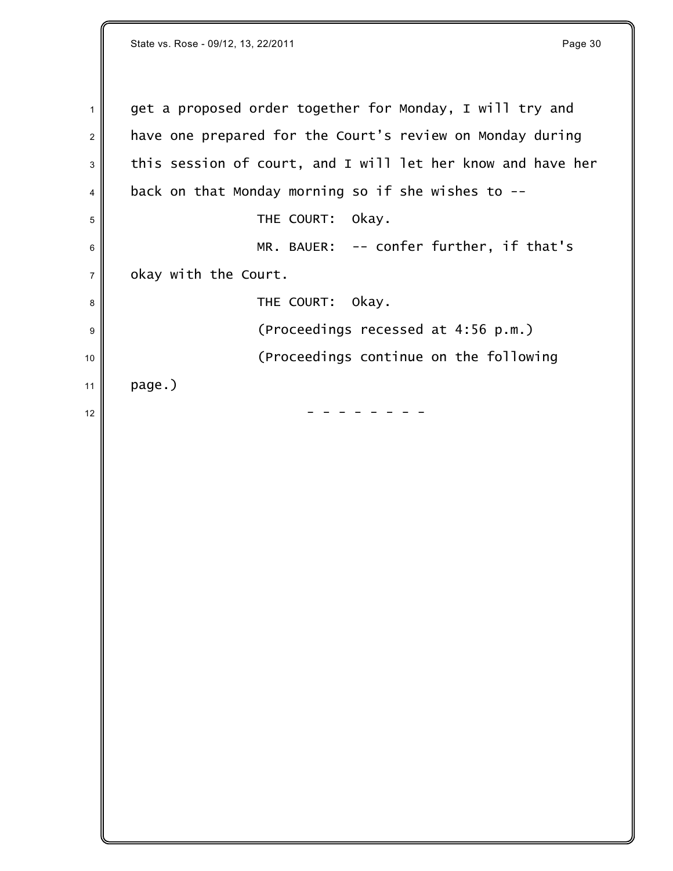State vs. Rose - 09/12, 13, 22/2011 **Page 30 Page 30**  $1 \parallel$  get a proposed order together for Monday, I will try and  $2 \parallel$  have one prepared for the Court's review on Monday during  $3 \parallel$  this session of court, and I will let her know and have her  $4 \parallel$  back on that Monday morning so if she wishes to --5 SH THE COURT: OKAY.  $6 \parallel$  MR. BAUER: -- confer further, if that's  $7$  okay with the Court. <sup>8</sup> THE COURT: Okay. 9 || (Proceedings recessed at 4:56 p.m.) <sup>10</sup> (Proceedings continue on the following 11  $|$  page.) <sup>12</sup> - - - - - - - -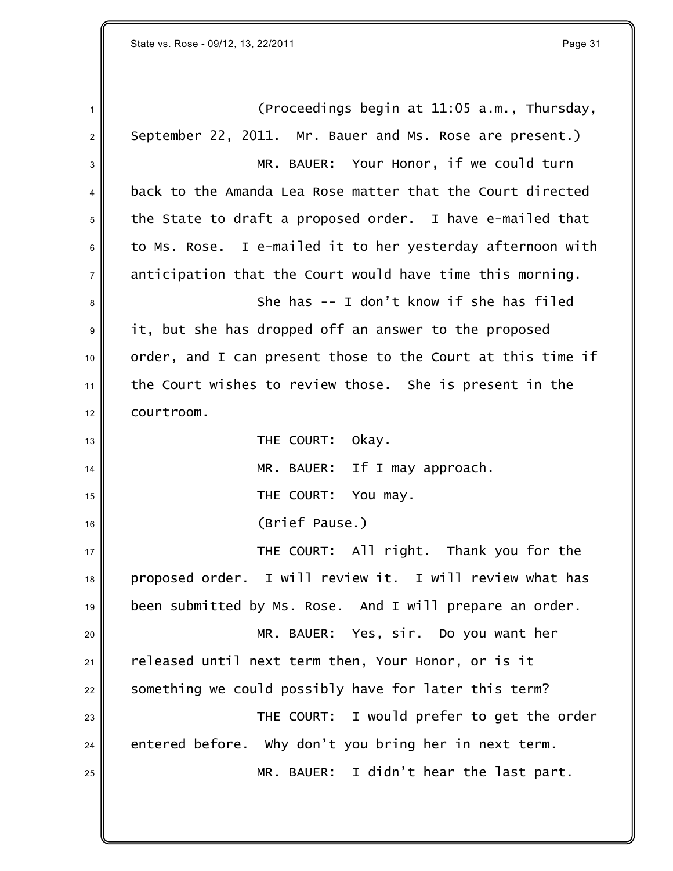$\parallel$  1 (Proceedings begin at 11:05 a.m., Thursday,  $2 \parallel$  September 22, 2011. Mr. Bauer and Ms. Rose are present.) 3 MR. BAUER: Your Honor, if we could turn <sup>4</sup> back to the Amanda Lea Rose matter that the Court directed  $5$  the State to draft a proposed order. I have e-mailed that  $6 \parallel$  to Ms. Rose. I e-mailed it to her yesterday afternoon with  $7 \parallel$  anticipation that the Court would have time this morning. <sup>8</sup> She has -- I don't know if she has filed 9 it, but she has dropped off an answer to the proposed  $10$  order, and I can present those to the Court at this time if  $11$  the Court wishes to review those. She is present in the  $12 \parallel$  courtroom. 13 || THE COURT: Okay. <sup>14</sup> MR. BAUER: If I may approach. 15 || **THE COURT:** You may. <sup>16</sup> (Brief Pause.) 17 **THE COURT:** All right. Thank you for the <sup>18</sup> proposed order. I will review it. I will review what has <sup>19</sup> been submitted by Ms. Rose. And I will prepare an order. <sup>20</sup> MR. BAUER: Yes, sir. Do you want her  $21$  released until next term then, Your Honor, or is it  $22$  something we could possibly have for later this term? 23 **THE COURT:** I would prefer to get the order  $24$  entered before. Why don't you bring her in next term.  $_{25}$   $\parallel$   $\blacksquare$   $\blacksquare$   $\blacksquare$   $\blacksquare$   $\blacksquare$   $\blacksquare$   $\blacksquare$   $\blacksquare$   $\blacksquare$   $\blacksquare$   $\blacksquare$   $\blacksquare$   $\blacksquare$   $\blacksquare$   $\blacksquare$   $\blacksquare$   $\blacksquare$   $\blacksquare$   $\blacksquare$   $\blacksquare$   $\blacksquare$   $\blacksquare$   $\blacksquare$   $\blacksquare$   $\blacksquare$   $\blacksquare$   $\blacksquare$   $\blacksquare$   $\blacksquare$   $\blacksquare$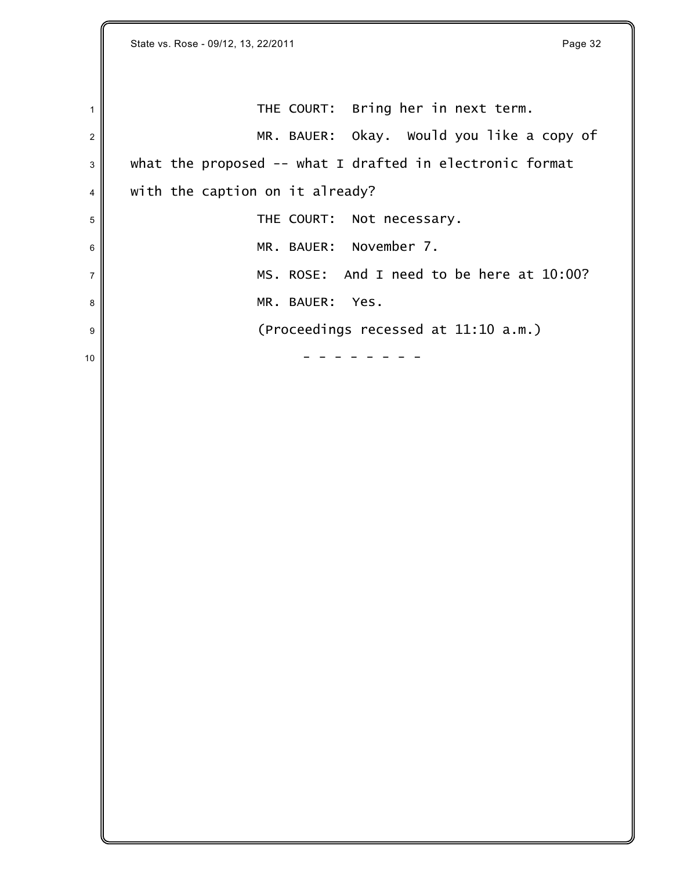$1$  THE COURT: Bring her in next term. 2 MR. BAUER: Okay. Would you like a copy of  $3 \parallel$  what the proposed -- what I drafted in electronic format  $4 \parallel$  with the caption on it already? <sup>5</sup> THE COURT: Not necessary. <sup>6</sup> MR. BAUER: November 7.  $7$  MS. ROSE: And I need to be here at 10:00? 8 MR. BAUER: Yes. 9 || (Proceedings recessed at 11:10 a.m.)  $10$   $\parallel$